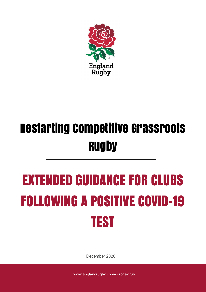

## Restarting Competitive Grassroots **Rugby**

# EXTENDED GUIDANCE FOR CLUBS FOLLOWING A POSITIVE COVID-19 TEST

December 2020

www.englandrugby.com/coronavirus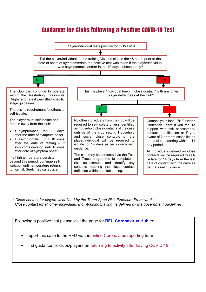## Guidance for Clubs following a Positive COVID-19 Test



*\* Close contact for players is defined by the Team Sport Risk Exposure Framework. Close contact for all other individuals (non-training/playing) is defined by the government guidelines.*

Following a positive test please visit the page for **[RFU Coronavirus Hub](https://www.englandrugby.com/participation/running-your-club/coronavirus)** to:

- report this case to the RFU via the online Coronavirus reporting form
- find guidance for clubs/players on returning to activity after having COVID-19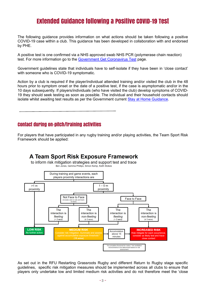### Extended Guidance following a Positive COVID-19 Test

The following guidance provides information on what actions should be taken following a positive COVID-19 case within a club. This guidance has been developed in collaboration with and endorsed by PHE.

A positive test is one confirmed via a NHS approved swab NHS PCR (polymerase chain reaction) test. For more information go to the [Government Get Coronavirus Test](http://www.gov.uk/get-coronavirus-test) page.

Government guidelines state that individuals have to self-isolate if they have been in 'close contact' with someone who is COVID-19 symptomatic.

Action by a club is required if the player/individual attended training and/or visited the club in the 48 hours prior to symptom onset or the date of a positive test, if the case is asymptomatic and/or in the 10 days subsequently. If players/individuals (who have visited the club) develop symptoms of COVID-19 they should seek testing as soon as possible. The individual and their household contacts should isolate whilst awaiting test results as per the Government current [Stay at Home Guidance.](https://www.gov.uk/government/publications/covid-19-stay-at-home-guidance/stay-at-home-guidance-for-households-with-possible-coronavirus-covid-19-infection)

#### Contact during on-pitch/training activities

For players that have participated in any rugby training and/or playing activities, the Team Sport Risk Framework should be applied:



As set out in the RFU Restarting Grassroots Rugby and different Return to Rugby stage specific guidelines, specific risk mitigation measures should be implemented across all clubs to ensure that players only undertake low and limited medium risk activities and do not therefore meet the 'close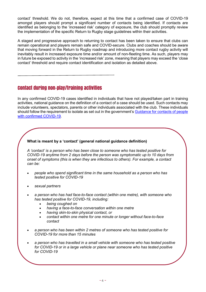contact' threshold. We do not, therefore, expect at this time that a confirmed case of COVID-19 amongst players should prompt a significant number of contacts being identified. If contacts are identified as belonging to the 'increased risk' category of exposure, the club should promptly review the implementation of the specific Return to Rugby stage guidelines within their activities.

A staged and progressive approach to returning to contact has been taken to ensure that clubs can remain operational and players remain safe and COVID-secure. Clubs and coaches should be aware that moving forward in the Return to Rugby roadmap and introducing more contact rugby activity will inevitably result in increased exposure time and/or amount of non-fleeting time. As such, players may in future be exposed to activity in the 'increased risk' zone, meaning that players may exceed the 'close contact' threshold and require contact identification and isolation as detailed above.

#### Contact during non-play/training activities

In any confirmed COVID-19 cases identified in individuals that have not played/taken part in training activities, national guidance on the definition of a contact of a case should be used. Such contacts may include volunteers, spectators, parents or other individuals associated with the club. These individuals should follow the requirement to isolate as set out in the government's [Guidance for contacts of people](https://www.gov.uk/government/publications/guidance-for-contacts-of-people-with-possible-or-confirmed-coronavirus-covid-19-infection-who-do-not-live-with-the-person/guidance-for-contacts-of-people-with-possible-or-confirmed-coronavirus-covid-19-infection-who-do-not-live-with-the-person)  [with confirmed COVID-19.](https://www.gov.uk/government/publications/guidance-for-contacts-of-people-with-possible-or-confirmed-coronavirus-covid-19-infection-who-do-not-live-with-the-person/guidance-for-contacts-of-people-with-possible-or-confirmed-coronavirus-covid-19-infection-who-do-not-live-with-the-person)

#### **What is meant by a 'contact' (general national guidance definition)**

*A 'contact' is a person who has been close to someone who has tested positive for COVID-19 anytime from 2 days before the person was symptomatic up to 10 days from onset of symptoms (this is when they are infectious to others). For example, a contact can be:*

- *people who spend significant time in the same household as a person who has tested positive for COVID-19*
- *sexual partners*
- *a person who has had face-to-face contact (within one metre), with someone who has tested positive for COVID-19, including:* 
	- *being coughed on*
	- *having a face-to-face conversation within one metre*
	- *having skin-to-skin physical contact, or*
	- *contact within one metre for one minute or longer without face-to-face contact*
- *a person who has been within 2 metres of someone who has tested positive for COVID-19 for more than 15 minutes*
- *a person who has travelled in a small vehicle with someone who has tested positive for COVID-19 or in a large vehicle or plane near someone who has tested positive for COVID-19*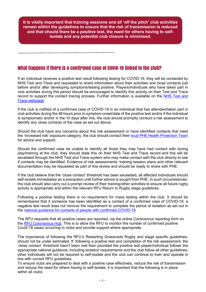**It is vitally important that training sessions and all 'off the pitch' club activities remain within the guidelines to ensure that the risk of transmission is reduced and that should there be a positive test, the need for others having to selfisolate and any potential club closure is minimised.**

#### What happens if there is a confirmed case of COVID-19 linked to the club?

If an individual receives a positive test result following testing for COVID-19, they will be contacted by NHS Test and Trace and requested to share information about their activities and close contacts just before and/or after developing symptoms/testing positive. Players/individuals who have taken part in club activities during this period should be encouraged to identify this activity on their Test and Trace record to support the contact tracing process. Further information is available on the NHS Test and [Trace webpage.](https://www.gov.uk/guidance/nhs-test-and-trace-how-it-works)

If the club is notified of a confirmed case of COVID-19 in an individual that has attended/taken part in club activities during the 48 hours prior to symptom onset/date of the positive test and/or if the individual is symptomatic and/or in the 10 days after this, the club should promptly conduct a risk assessment to identify any close contacts of the case as set out above.

Should the club have any concerns about this risk assessment or have identified contacts that meet the 'increased risk' exposure category, the club should contact their [local PHE Health Protection Team](https://www.gov.uk/health-protection-team) for advice and support.

Should the confirmed case be unable to identify all those they may have had contact with during play/training at the club, they should state this on their NHS Test and Trace record and this will be escalated through the NHS Test and Trace system who may make contact with the club directly to see if contacts may be identified. Evidence of risk assessments, training session plans and other relevant documentation may be requested as part of this review and should be ready to share with PHE.

If the club believe that the 'close contact' threshold has been exceeded, all affected individuals should self-isolate immediately as a precaution until further advice is sought from PHE. In such circumstances, the club should also carry out a prompt review of their training/other activities to ensure all future rugby activity is appropriate and within the relevant RFU Return to Rugby stage guidelines.

Following a positive testing there is no requirement for mass testing within the club. It should be remembered that if someone has been identified as a contact of a confirmed case of COVID-19, a negative test result does not remove the requirement to complete the period of isolation as set out in the [national guidance for contacts of people with confirmed COVID-19.](https://www.gov.uk/government/publications/guidance-for-contacts-of-people-with-possible-or-confirmed-coronavirus-covid-19-infection-who-do-not-live-with-the-person/guidance-for-contacts-of-people-with-possible-or-confirmed-coronavirus-covid-19-infection-who-do-not-live-with-the-person)

The RFU requests that all positive cases are reported, via the online Coronavirus reporting form on the [RFU Coronavirus Hub.](https://www.englandrugby.com/participation/running-your-club/coronavirus) This is to allow the RFU to monitor the number of confirmed positive Covid-19 cases occurring in clubs and provide support where appropriate.

The importance of following the RFU's Restarting Grassroots Rugby and stage specific guidelines, should not be under estimated. If, following a positive test and completion of the risk assessment, the 'close contact' threshold hasn't been met then provided the positive test player/individual follows the appropriate national guidance, including isolation requirements and the club follow all other guidelines; other individuals will not be required to self-isolate and the club can continue to train and operate in line with current RFU guidelines.

To ensure clubs are prepared to deal with a positive case effectively, reduce the risk of transmission and reduce the need for others having to self-isolate, it is important that the following is in place within all clubs: